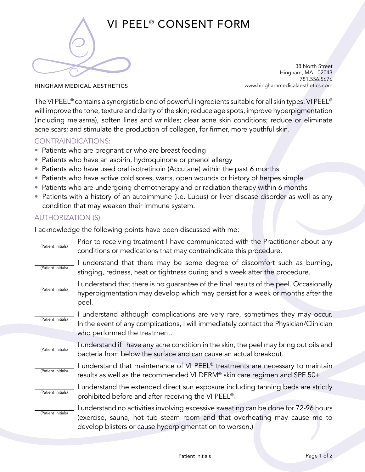

## VI PEEL® CONSENT FORM

38 North Street Hingham, MA 02043 781.556.5676 www.hinghammedicalaesthetics.com

HINGHAM MEDICAL AESTHETICS

The VI PEEL® contains a synergistic blend of powerful ingredients suitable for all skin types. VI PEEL® will improve the tone, texture and clarity of the skin; reduce age spots, improve hyperpigmentation (including melasma), soften lines and wrinkles; clear acne skin conditions; reduce or eliminate acne scars; and stimulate the production of collagen, for firmer, more youthful skin.

## CONTRAINDICATIONS:

- Patients who are pregnant or who are breast feeding
- Patients who have an aspirin, hydroquinone or phenol allergy
- Patients who have used oral isotretinoin (Accutane) within the past 6 months
- Patients who have active cold sores, warts, open wounds or history of herpes simple
- Patients who are undergoing chemotherapy and or radiation therapy within 6 months
- Patients with a history of an autoimmune (i.e. Lupus) or liver disease disorder as well as any condition that may weaken their immune system.

## AUTHORIZATION (S)

I acknowledge the following points have been discussed with me:

| (Patient Initials) | Prior to receiving treatment I have communicated with the Practitioner about any<br>conditions or medications that may contraindicate this procedure.                                                                       |
|--------------------|-----------------------------------------------------------------------------------------------------------------------------------------------------------------------------------------------------------------------------|
| (Patient Initials) | I understand that there may be some degree of discomfort such as burning,<br>stinging, redness, heat or tightness during and a week after the procedure.                                                                    |
| (Patient Initials) | I understand that there is no guarantee of the final results of the peel. Occasionally<br>hyperpigmentation may develop which may persist for a week or months after the<br>peel.                                           |
| (Patient Initials) | I understand although complications are very rare, sometimes they may occur.                                                                                                                                                |
|                    | In the event of any complications, I will immediately contact the Physician/Clinician<br>who performed the treatment.                                                                                                       |
| (Patient Initials) | I understand if I have any acne condition in the skin, the peel may bring out oils and<br>bacteria from below the surface and can cause an actual breakout.                                                                 |
| (Patient Initials) | I understand that maintenance of VI PEEL <sup>®</sup> treatments are necessary to maintain<br>results as well as the recommended VI DERM® skin care regimen and SPF 50+.                                                    |
| (Patient Initials) | I understand the extended direct sun exposure including tanning beds are strictly<br>prohibited before and after receiving the VI PEEL®.                                                                                    |
| (Patient Initials) | I understand no activities involving excessive sweating can be done for 72-96 hours<br>(exercise, sauna, hot tub steam room and that overheating may cause me to<br>develop blisters or cause hyperpigmentation to worsen.) |